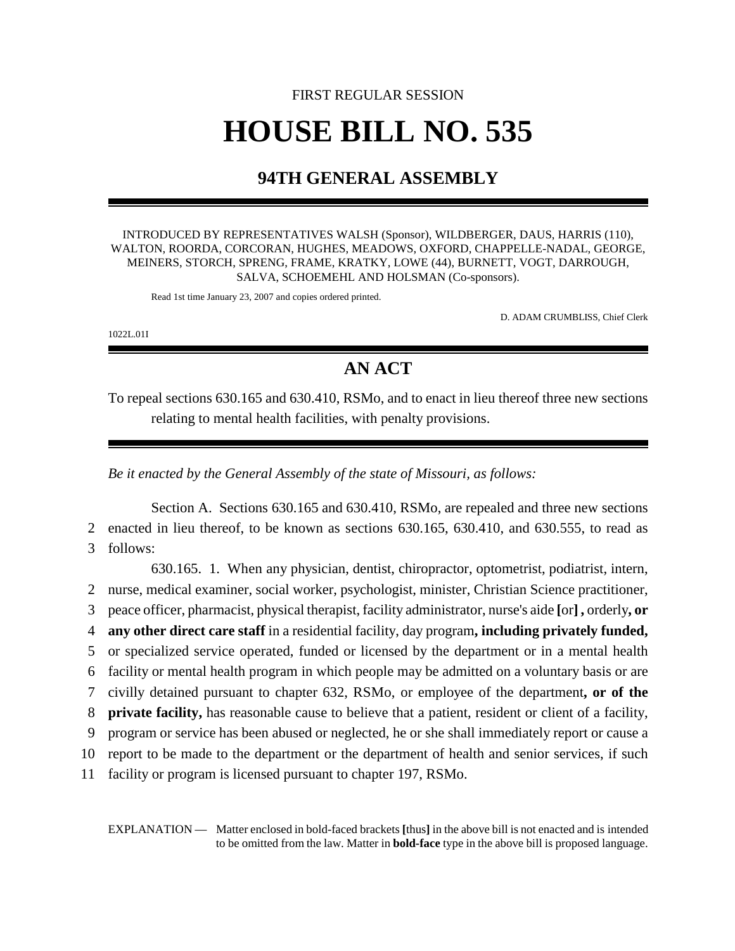## FIRST REGULAR SESSION **HOUSE BILL NO. 535**

## **94TH GENERAL ASSEMBLY**

INTRODUCED BY REPRESENTATIVES WALSH (Sponsor), WILDBERGER, DAUS, HARRIS (110), WALTON, ROORDA, CORCORAN, HUGHES, MEADOWS, OXFORD, CHAPPELLE-NADAL, GEORGE, MEINERS, STORCH, SPRENG, FRAME, KRATKY, LOWE (44), BURNETT, VOGT, DARROUGH, SALVA, SCHOEMEHL AND HOLSMAN (Co-sponsors).

Read 1st time January 23, 2007 and copies ordered printed.

D. ADAM CRUMBLISS, Chief Clerk

1022L.01I

## **AN ACT**

To repeal sections 630.165 and 630.410, RSMo, and to enact in lieu thereof three new sections relating to mental health facilities, with penalty provisions.

*Be it enacted by the General Assembly of the state of Missouri, as follows:*

Section A. Sections 630.165 and 630.410, RSMo, are repealed and three new sections 2 enacted in lieu thereof, to be known as sections 630.165, 630.410, and 630.555, to read as 3 follows:

630.165. 1. When any physician, dentist, chiropractor, optometrist, podiatrist, intern, nurse, medical examiner, social worker, psychologist, minister, Christian Science practitioner, peace officer, pharmacist, physical therapist, facility administrator, nurse's aide **[**or**] ,** orderly**, or any other direct care staff** in a residential facility, day program**, including privately funded,** or specialized service operated, funded or licensed by the department or in a mental health facility or mental health program in which people may be admitted on a voluntary basis or are civilly detained pursuant to chapter 632, RSMo, or employee of the department**, or of the private facility,** has reasonable cause to believe that a patient, resident or client of a facility, program or service has been abused or neglected, he or she shall immediately report or cause a report to be made to the department or the department of health and senior services, if such facility or program is licensed pursuant to chapter 197, RSMo.

EXPLANATION — Matter enclosed in bold-faced brackets **[**thus**]** in the above bill is not enacted and is intended to be omitted from the law. Matter in **bold-face** type in the above bill is proposed language.